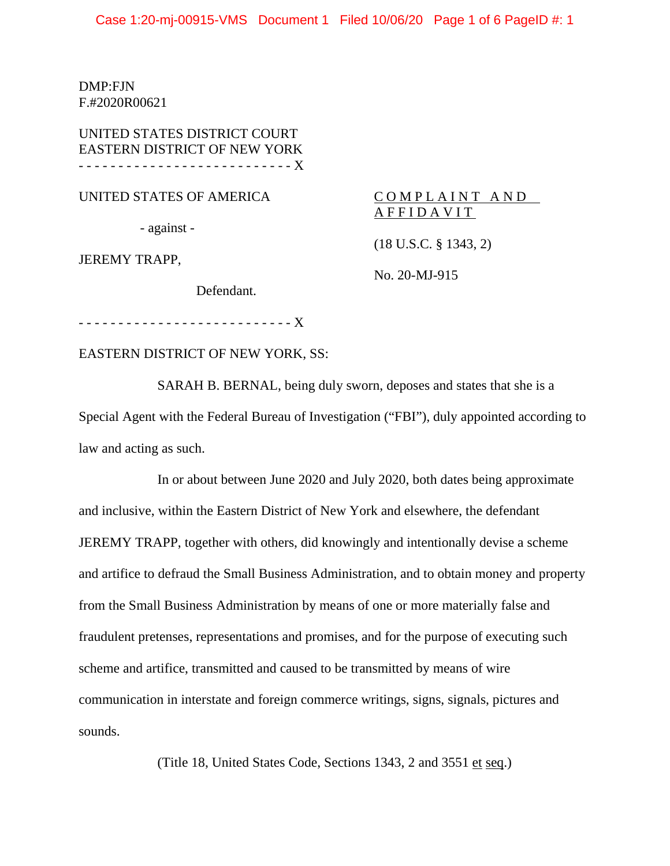Case 1:20-mj-00915-VMS Document 1 Filed 10/06/20 Page 1 of 6 PageID #: 1

DMP:FJN F.#2020R00621

UNITED STATES DISTRICT COURT EASTERN DISTRICT OF NEW YORK - - - - - - - - - - - - - - - - - - - - - - - - - - - X

UNITED STATES OF AMERICA

- against -

JEREMY TRAPP,

COMPLAINT AND AFFIDAVIT

(18 U.S.C. § 1343, 2)

No. 20-MJ-915

Defendant.

- - - - - - - - - - - - - - - - - - - - - - - - - - - X

EASTERN DISTRICT OF NEW YORK, SS:

SARAH B. BERNAL, being duly sworn, deposes and states that she is a Special Agent with the Federal Bureau of Investigation ("FBI"), duly appointed according to law and acting as such.

In or about between June 2020 and July 2020, both dates being approximate and inclusive, within the Eastern District of New York and elsewhere, the defendant JEREMY TRAPP, together with others, did knowingly and intentionally devise a scheme and artifice to defraud the Small Business Administration, and to obtain money and property from the Small Business Administration by means of one or more materially false and fraudulent pretenses, representations and promises, and for the purpose of executing such scheme and artifice, transmitted and caused to be transmitted by means of wire communication in interstate and foreign commerce writings, signs, signals, pictures and sounds.

(Title 18, United States Code, Sections 1343, 2 and 3551 et seq.)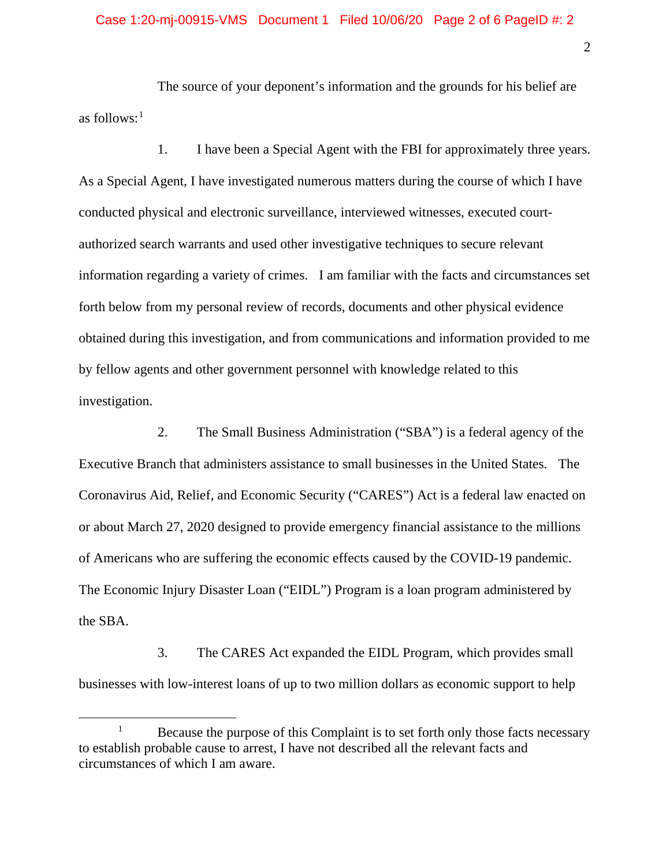The source of your deponent's information and the grounds for his belief are as follows: $<sup>1</sup>$ </sup>

1. I have been a Special Agent with the FBI for approximately three years. As a Special Agent, I have investigated numerous matters during the course of which I have conducted physical and electronic surveillance, interviewed witnesses, executed courtauthorized search warrants and used other investigative techniques to secure relevant information regarding a variety of crimes. I am familiar with the facts and circumstances set forth below from my personal review of records, documents and other physical evidence obtained during this investigation, and from communications and information provided to me by fellow agents and other government personnel with knowledge related to this investigation.

2. The Small Business Administration ("SBA") is a federal agency of the Executive Branch that administers assistance to small businesses in the United States. The Coronavirus Aid, Relief, and Economic Security ("CARES") Act is a federal law enacted on or about March 27, 2020 designed to provide emergency financial assistance to the millions of Americans who are suffering the economic effects caused by the COVID-19 pandemic. The Economic Injury Disaster Loan ("EIDL") Program is a loan program administered by the SBA.

3. The CARES Act expanded the EIDL Program, which provides small businesses with low-interest loans of up to two million dollars as economic support to help

<sup>&</sup>lt;sup>1</sup> Because the purpose of this Complaint is to set forth only those facts necessary to establish probable cause to arrest, I have not described all the relevant facts and circumstances of which I am aware.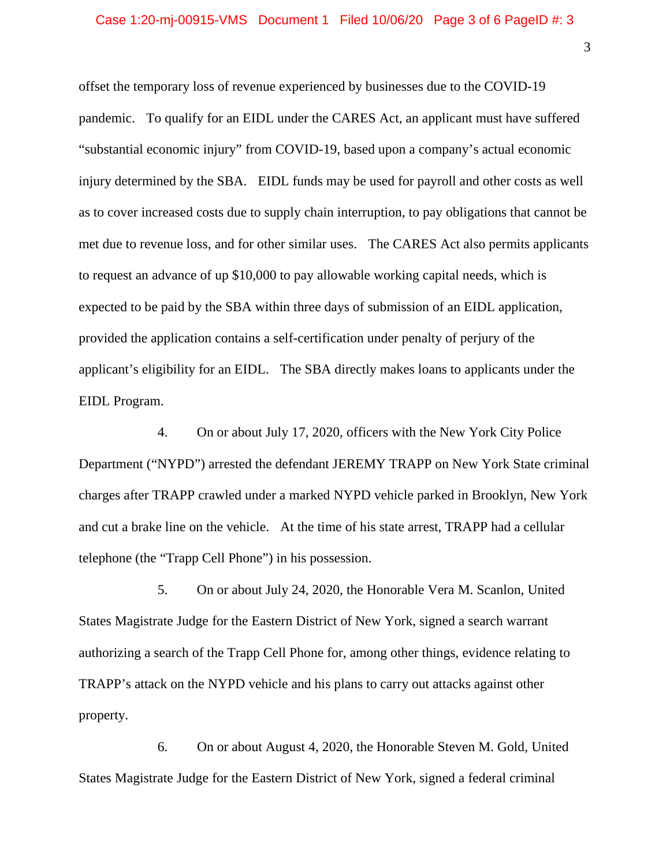offset the temporary loss of revenue experienced by businesses due to the COVID-19 pandemic. To qualify for an EIDL under the CARES Act, an applicant must have suffered "substantial economic injury" from COVID-19, based upon a company's actual economic injury determined by the SBA. EIDL funds may be used for payroll and other costs as well as to cover increased costs due to supply chain interruption, to pay obligations that cannot be met due to revenue loss, and for other similar uses. The CARES Act also permits applicants to request an advance of up \$10,000 to pay allowable working capital needs, which is expected to be paid by the SBA within three days of submission of an EIDL application, provided the application contains a self-certification under penalty of perjury of the applicant's eligibility for an EIDL. The SBA directly makes loans to applicants under the EIDL Program.

4. On or about July 17, 2020, officers with the New York City Police Department ("NYPD") arrested the defendant JEREMY TRAPP on New York State criminal charges after TRAPP crawled under a marked NYPD vehicle parked in Brooklyn, New York and cut a brake line on the vehicle. At the time of his state arrest, TRAPP had a cellular telephone (the "Trapp Cell Phone") in his possession.

5. On or about July 24, 2020, the Honorable Vera M. Scanlon, United States Magistrate Judge for the Eastern District of New York, signed a search warrant authorizing a search of the Trapp Cell Phone for, among other things, evidence relating to TRAPP's attack on the NYPD vehicle and his plans to carry out attacks against other property.

6. On or about August 4, 2020, the Honorable Steven M. Gold, United States Magistrate Judge for the Eastern District of New York, signed a federal criminal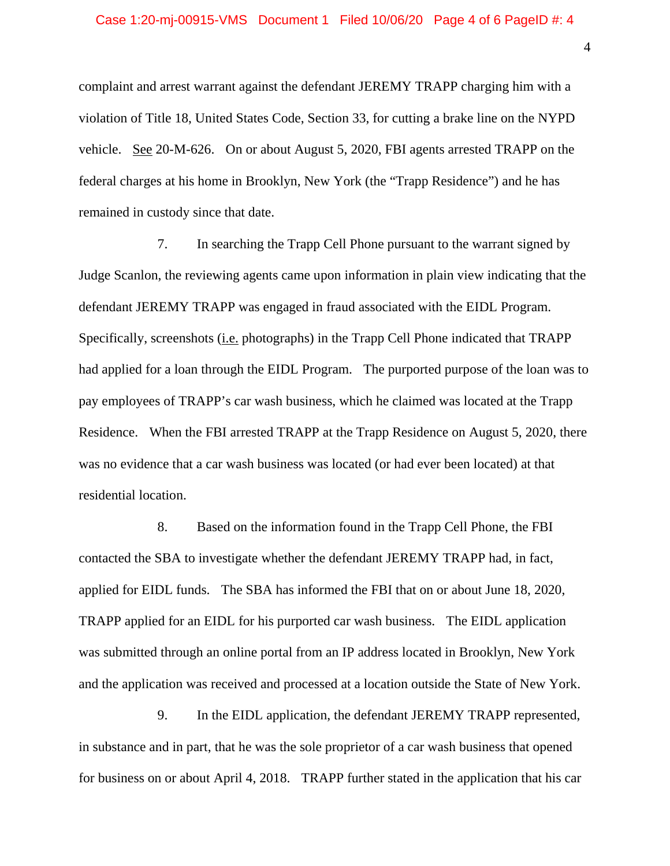complaint and arrest warrant against the defendant JEREMY TRAPP charging him with a violation of Title 18, United States Code, Section 33, for cutting a brake line on the NYPD vehicle. See 20-M-626. On or about August 5, 2020, FBI agents arrested TRAPP on the federal charges at his home in Brooklyn, New York (the "Trapp Residence") and he has remained in custody since that date.

7. In searching the Trapp Cell Phone pursuant to the warrant signed by Judge Scanlon, the reviewing agents came upon information in plain view indicating that the defendant JEREMY TRAPP was engaged in fraud associated with the EIDL Program. Specifically, screenshots (i.e. photographs) in the Trapp Cell Phone indicated that TRAPP had applied for a loan through the EIDL Program. The purported purpose of the loan was to pay employees of TRAPP's car wash business, which he claimed was located at the Trapp Residence. When the FBI arrested TRAPP at the Trapp Residence on August 5, 2020, there was no evidence that a car wash business was located (or had ever been located) at that residential location.

8. Based on the information found in the Trapp Cell Phone, the FBI contacted the SBA to investigate whether the defendant JEREMY TRAPP had, in fact, applied for EIDL funds. The SBA has informed the FBI that on or about June 18, 2020, TRAPP applied for an EIDL for his purported car wash business. The EIDL application was submitted through an online portal from an IP address located in Brooklyn, New York and the application was received and processed at a location outside the State of New York.

9. In the EIDL application, the defendant JEREMY TRAPP represented, in substance and in part, that he was the sole proprietor of a car wash business that opened for business on or about April 4, 2018. TRAPP further stated in the application that his car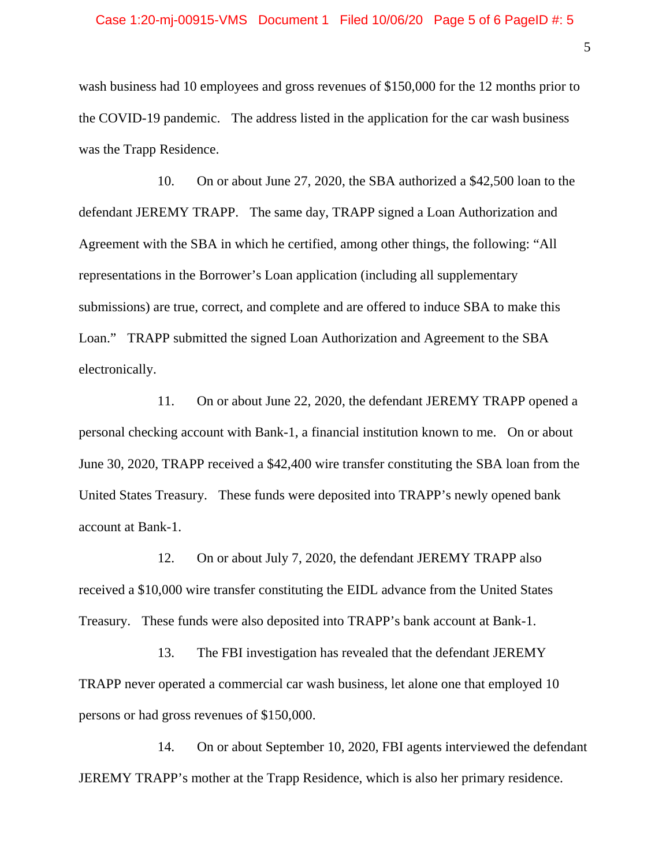wash business had 10 employees and gross revenues of \$150,000 for the 12 months prior to the COVID-19 pandemic. The address listed in the application for the car wash business was the Trapp Residence.

10. On or about June 27, 2020, the SBA authorized a \$42,500 loan to the defendant JEREMY TRAPP. The same day, TRAPP signed a Loan Authorization and Agreement with the SBA in which he certified, among other things, the following: "All representations in the Borrower's Loan application (including all supplementary submissions) are true, correct, and complete and are offered to induce SBA to make this Loan." TRAPP submitted the signed Loan Authorization and Agreement to the SBA electronically.

11. On or about June 22, 2020, the defendant JEREMY TRAPP opened a personal checking account with Bank-1, a financial institution known to me. On or about June 30, 2020, TRAPP received a \$42,400 wire transfer constituting the SBA loan from the United States Treasury. These funds were deposited into TRAPP's newly opened bank account at Bank-1.

12. On or about July 7, 2020, the defendant JEREMY TRAPP also received a \$10,000 wire transfer constituting the EIDL advance from the United States Treasury. These funds were also deposited into TRAPP's bank account at Bank-1.

13. The FBI investigation has revealed that the defendant JEREMY TRAPP never operated a commercial car wash business, let alone one that employed 10 persons or had gross revenues of \$150,000.

14. On or about September 10, 2020, FBI agents interviewed the defendant JEREMY TRAPP's mother at the Trapp Residence, which is also her primary residence.